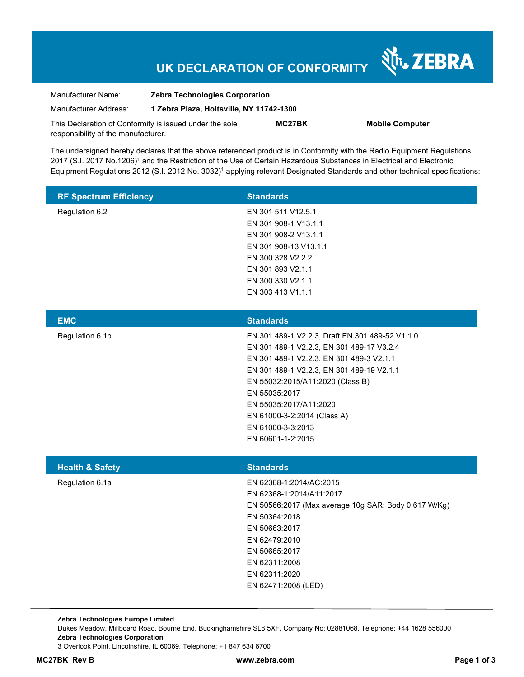# **UK DECLARATION OF CONFORMITY**

Nr. ZEBRA

| Manufacturer Name:                                      | <b>Zebra Technologies Corporation</b>    |        |                        |  |
|---------------------------------------------------------|------------------------------------------|--------|------------------------|--|
| Manufacturer Address:                                   | 1 Zebra Plaza, Holtsville, NY 11742-1300 |        |                        |  |
| This Declaration of Conformity is issued under the sole |                                          | MC27BK | <b>Mobile Computer</b> |  |
| responsibility of the manufacturer.                     |                                          |        |                        |  |

The undersigned hereby declares that the above referenced product is in Conformity with the Radio Equipment Regulations 2017 (S.I. 2017 No.1206)<sup>1</sup> and the Restriction of the Use of Certain Hazardous Substances in Electrical and Electronic Equipment Regulations 2012 (S.I. 2012 No. 3032)<sup>1</sup> applying relevant Designated Standards and other technical specifications:

| <b>RF Spectrum Efficiency</b> | <b>Standards</b>      |
|-------------------------------|-----------------------|
| Regulation 6.2                | EN 301 511 V12.5.1    |
|                               | EN 301 908-1 V13.1.1  |
|                               | EN 301 908-2 V13.1.1  |
|                               | EN 301 908-13 V13.1.1 |
|                               | EN 300 328 V2.2.2     |
|                               | EN 301 893 V2.1.1     |
|                               | EN 300 330 V2.1.1     |
|                               | EN 303 413 V1.1.1     |

| <b>EMC</b>      | <b>Standards</b>                                |
|-----------------|-------------------------------------------------|
| Regulation 6.1b | EN 301 489-1 V2.2.3, Draft EN 301 489-52 V1.1.0 |
|                 | EN 301 489-1 V2.2.3, EN 301 489-17 V3.2.4       |
|                 | EN 301 489-1 V2.2.3, EN 301 489-3 V2.1.1        |
|                 | EN 301 489-1 V2.2.3, EN 301 489-19 V2.1.1       |
|                 | EN 55032:2015/A11:2020 (Class B)                |
|                 | EN 55035:2017                                   |
|                 | EN 55035:2017/A11:2020                          |
|                 | EN 61000-3-2:2014 (Class A)                     |
|                 | EN 61000-3-3:2013                               |
|                 | EN 60601-1-2:2015                               |
|                 |                                                 |

| <b>Health &amp; Safety</b> | <b>Standards</b>                                     |
|----------------------------|------------------------------------------------------|
| Regulation 6.1a            | EN 62368-1:2014/AC:2015                              |
|                            | EN 62368-1:2014/A11:2017                             |
|                            | EN 50566:2017 (Max average 10g SAR: Body 0.617 W/Kg) |
|                            | EN 50364:2018                                        |
|                            | EN 50663:2017                                        |
|                            | EN 62479:2010                                        |
|                            | EN 50665:2017                                        |
|                            | EN 62311:2008                                        |
|                            | EN 62311:2020                                        |
|                            | EN 62471:2008 (LED)                                  |

**Zebra Technologies Europe Limited**  Dukes Meadow, Millboard Road, Bourne End, Buckinghamshire SL8 5XF, Company No: 02881068, Telephone: +44 1628 556000 **Zebra Technologies Corporation**  3 Overlook Point, Lincolnshire, IL 60069, Telephone: +1 847 634 6700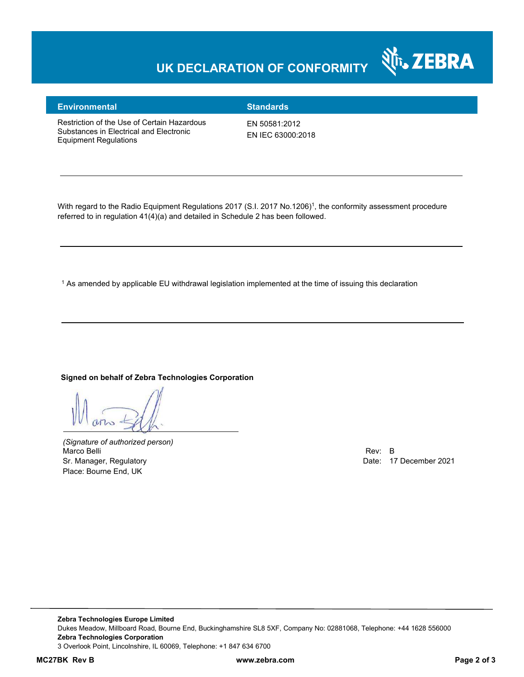### **UK DECLARATION OF CONFORMITY**



#### **Environmental Standards**

Restriction of the Use of Certain Hazardous Substances in Electrical and Electronic Equipment Regulations

EN 50581:2012 EN IEC 63000:2018

With regard to the Radio Equipment Regulations 2017 (S.I. 2017 No.1206)<sup>1</sup>, the conformity assessment procedure referred to in regulation 41(4)(a) and detailed in Schedule 2 has been followed.

1 As amended by applicable EU withdrawal legislation implemented at the time of issuing this declaration

#### **Signed on behalf of Zebra Technologies Corporation**

*(Signature of authorized person)* Marco Belli Rev: B Sr. Manager, Regulatory **Date: 17 December 2021** Place: Bourne End, UK